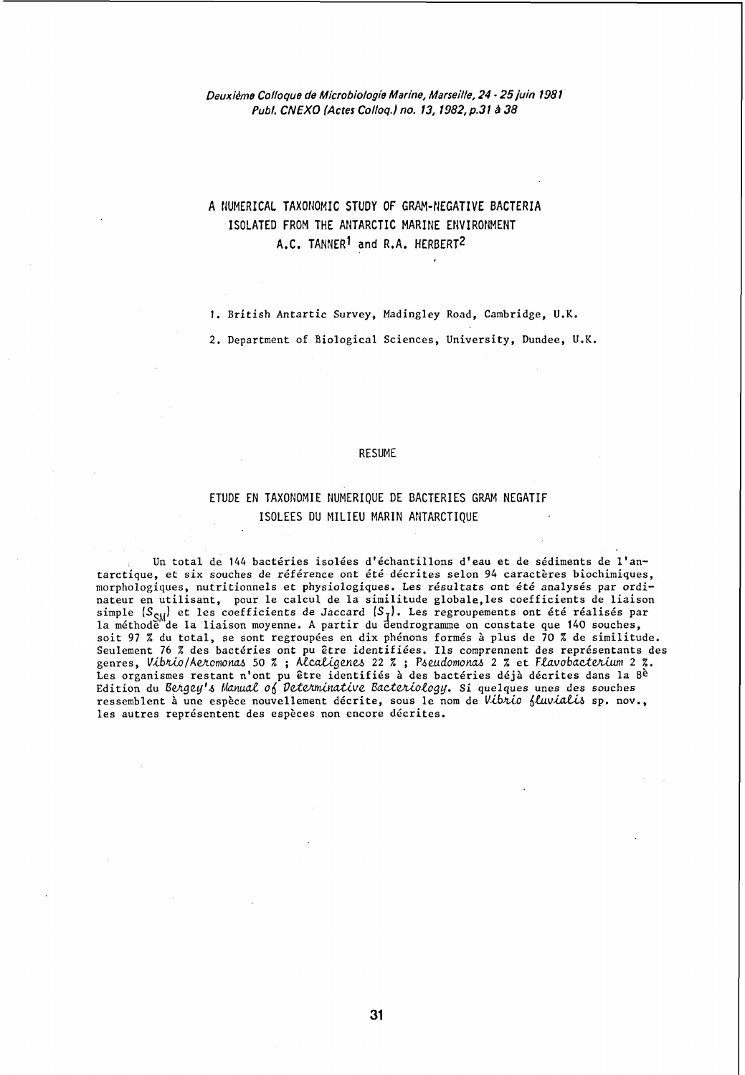## Deuxiême Colloque de Microbiologie Marine, Marseille, 24 • 25 juin 1981 Publ. CNEXO (Actes Colloq.) no. 13, 1982, p.31 à 38

# A flUMERICAL TAXONOMIC STUDY OF GRAM-NEGATIVE BACTERIA ISOLATED FROM THE ANTARCTIC MARINE ENVIRONMENT A.C. TANNER<sup>1</sup> and R.A. HERBERT<sup>2</sup>

1. British Antartic Survey, Madingley Road, Cambridge, U.K.

2. Department of Biological Sciences, University, Dundee, U.K.

## RESUME

# ETUDE EN TAXONOMIE NUMERIQUE DE BACTERIES GRAM NEGATIF ISOLEES DU MILIEU MARIN ANTARCTIQUE

Un total de 144 bactéries isolées d'échantillons d'eau et de sédiments de l'antarctique, et six souches de référence ont été décrites selon 94 caractères biochimiques, morphologiques, nutritionnels et physiologiques. Les résultats ont été analysés par ordinateur en utilisant, pour le calcul de la similitude globale,les coefficients de liaison simple *(S<sub>CM</sub>)* et les coefficients de Jaccard *(S<sub>T</sub>)*. Les regroupements ont été réalisés par la méthode de la liaison moyenne. A partir du dendrogramme on constate que 140 souches, soit 97 % du total, se sont regroupées en dix phénons formés à plus de 70 % de similitude. Seulement 76 % des bactéries ont pu être identifiées. Ils comprennent des représentants des genres, *V,ibJÛo/AeJLomoltaJ.>* 50 % ; Atc.ctU.genv., 22 % ; *P.6e.udomoncv..* 2 % et *FfuvobacteJUwn* 2 %. Les organismes restant n'ont pu être identifiés à des bactéries déjà décrites dans la Sè Edition du *Bergey's Manual of Determinative Bacteriology.* Si quelques unes des souches ressemblent à une espèce nouvellement décrite, sous le nom de Vibrio fluvialis sp. nov., les autres représentent des espèces non encore décrites.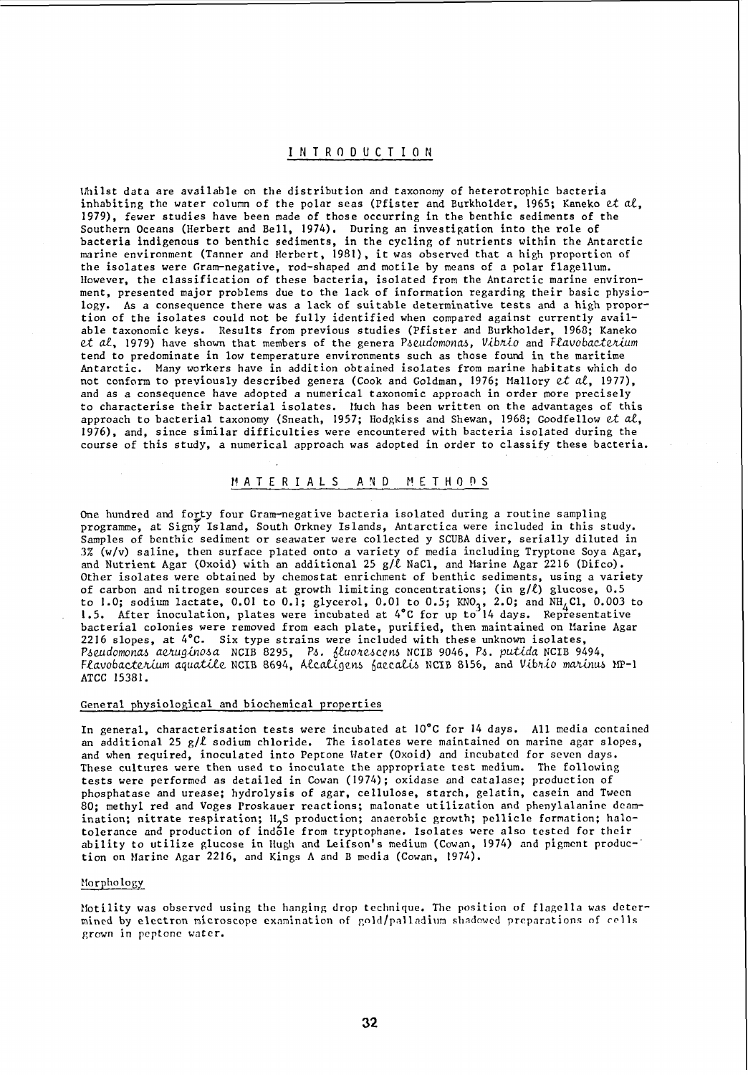## l N T R 0 0 U C T ION

\1hilst data are available on the distribution and taxonomy of heterotrophic bacteria inhabiting the water column of the polar seas (Pfister and Burkholder, 1965; Kaneko et al, 1979), fewer studies have been made of those occurring in the benthic sediments of the Southern Oceans (Herbert and Bell, 1974). During an investigation into the role of bacteria indigenous to benthic sediments, in the cycling of nutrients within the Antarctic marine environment (Tanner and Herbert, 1981), it was observed that a high proportion of the isolates were Gram-negative, rod-shaped and motile by means of a polar flagellum. lIowever, the classification of these bacteria, isolated from the Antarctic marine environment, presented major problems due to the lack of information regarding their basic physiology. As a consequence there was a lack of suitable determinative tests and a high proportion of the isolates could not be fully identified when compared against currently available taxonomic keys. Results from previous studies (Pfister and Burkholder, 1968; Kaneko et al, 1979) have shown that members of the genera Pseudomonas, Vibrio and Flavobacterium tend to predominate in low temperature environments such as those found in the maritime Antarctic. Many workers have in addition obtained isolates from marine habitats which do not conform to previously described genera (Cook and Goldman, 1976; Mallory et al, 1977), and as a consequence have adopted a numerical taxonomic approach in order more precisely to characterise their bacterial isolates. Iluch has been written on the advantages of this approach to bacterial taxonomy (Sneath, 1957; Hodgkiss and Shewan, 1968; Goodfellow et al, 1976), and, since similar difficulties were encountered with bacteria isolated during the course of this study, a numerical approach was adopted in order to classify these bacteria.

### MATERIALS AND METHODS

One hundred and forty four Gram-negative bacteria isolated during a routine sampling programme, at Signy Island, South Orkney Islands, Antarctica were included in this study. Samples of benthic sediment or seawater were collected y SCUBA diver, serially diluted in 3% (w/v) saline, then surface plated onto a variety of media including Tryptone Soya Agar, and Nutrient Agar (Oxoid) with an additional 25 g/ $\ell$  NaCl, and Marine Agar 2216 (Difco). Other isolates were obtained by chemostat enrichment of benthic sediments, using a variety of carbon and nitrogen sources at growth limiting concentrations; (in  $g/\ell$ ) glucose, 0.5 to 1.0; sodium lactate, 0.01 to 0.1; glycerol, 0.01 to 0.5; KNO<sub>3</sub>, 2.0; and NH<sub>4</sub>Cl, 0.003 to<br>1.5. After inoculation, plates were incubated at 4°C for up to 14 days. Representative bacterial colonies were removed from each plate, purified, then maintained on Marine Agar 2216 slopes, at 4°C. Six type strains were included with these unknown isolates, Pseudomonas aeruginosa NCIB 8295, Ps. fluorescens NCIB 9046, Ps. putida NCIB 9494, *Fiavobactenium aquatile* NCIB 8694, Atcat{De~~ 6aec~ NCIB 8156, and Vib~~o m~~& MP-} ATCC 15381.

#### General physiological and biochemical properties

In general, characterisation tests were incubated at 10°C for 14 days. AlI media contained an additional 25 *g/l* sodium chloride. The isolates were maintained on marine agar slopes, and when required, inoculated into Peptone Hater (Oxoid) and incubated for seven days. These cultures were then used to inoculate the appropriate test medium. The following tests werc performed as detailed in Cowan (1974); oxidase and catalasc; production of phosphatase and urease; hydrolysis of agar, cellulose, starch, gelatin, casein and Tween 80; methyl red and Voges Proskauer reactions; malonate utilization and phenylalanine deamination; nitrate respiration; H<sub>2</sub>S production; anaerobic growth; pellicle formation; halo-<br>telegrace and production of ind<sup>51</sup>e from truntenhanc, tealetes ware also tested for their tolerance and production of indole from tryptophane. Isolates were also tested for their ability to utilize glucose in Hugh and Leifson's medium (Cowan, 1974) and pigmcnt produc-" tion on Marine Agar 2216, and Kings A and B media (Cowan, 1974).

## Norphology

Motility was observed using the hanging drop technique. The position of flagella was determined by electron microscope examination of gold/palladium shadowed preparations of cells grown in peptone water.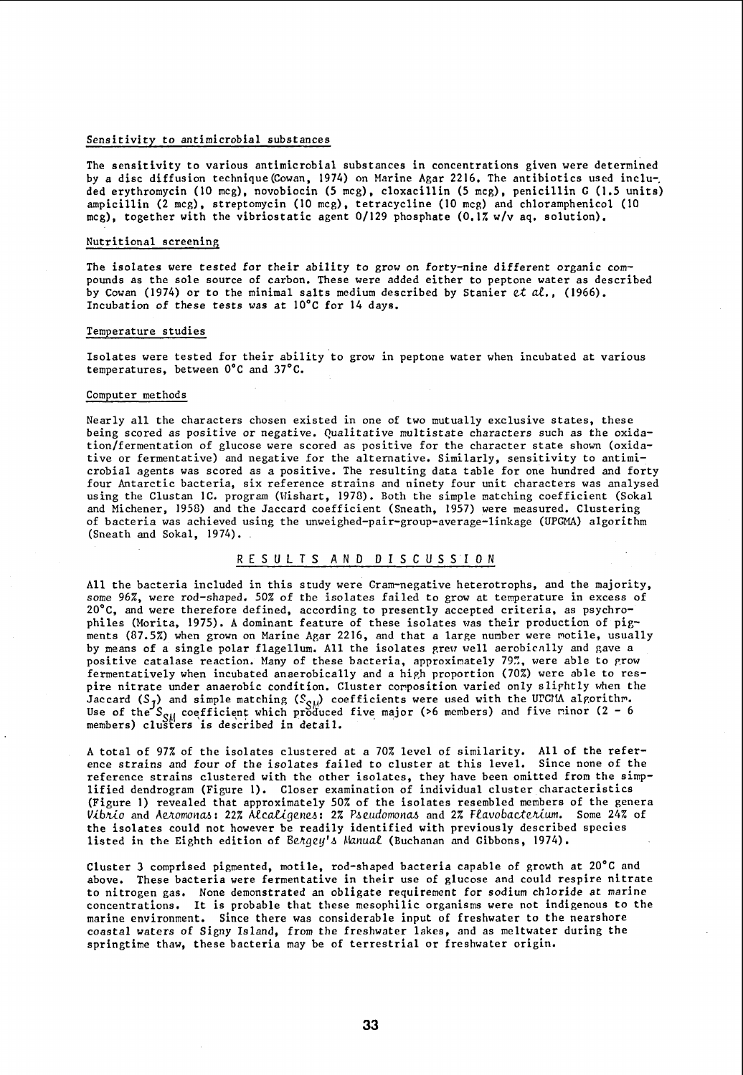#### Sensitivity to antimicrobial substances

The sensitivity to various antimicrobial substances in concentrations given were determined by a dise diffusion technique(Cowan, 1974) on Marine Agar 2216. The antibiotics used inclu-, ded erythromycin (10 mcg), novobiocin (5 mcg), cloxacillin (5 mcg), penicillin G (1.5 units) ampicillin (2 mcg), streptomycin (10 mcg), tetracycline (10 mcg) and chloramphenicol (10 mcg), together with the vibriostatic agent  $0/129$  phosphate  $(0.17 \text{ w/v}$  aq. solution).

#### Nutritional screening

The isolates were tested for their ability to grow on forty-nine different organic compounds as the sole source of carbon. These were added either to peptone water as described by Cowan (1974) or to the minimal salts medium described by Stanier et *al., (1966).*  Incubation of these tests was at 10°C for 14 days.

## Temperature studies

Isolates were tested for their ability to grow in peptone water when incubated at various temperatures, between O°C and 37°C.

#### Computer methods

Nearly aIl the characters chosen existed in one of two mutually exclusive states, these being scored as positive or negative. Qualitative multistate characters such as the oxidation/fermentation of glucose were scored as positive for the character state shown (oxidative or fermentative) and negative for the alternative. Similarly, sensitivity to antimicrobial agents was scored as a positive. The resulting data table for one hundred and forty four Antarctic bacteria, six reference strains and ninety four unit characters was analysed using the Clustan 1C. program (Wishart, 1978). Both the simple matching coefficient (Sokal and Michener, 1950) and the Jaccard coefficient (Sneath, 1957) were measured. Clustering of bacteria was achieved using the unweighed-pair-group-average-linkage (UPGMA) algorithm (Sneath and Sokal, 1974).

## RESULTS AND DISCUSSION

AlI the bacteria included in this study were Cram-negative heterotrophs, and the majority, some 96%, were rod-shaped. 50% of the isolates failed to grow at temperature in excess of 20°C, and were therefore defined, according to presently accepted criteria, as psychrophiles (Morita, 1975). A dominant feature of these isolates was their production of pigments (87.5%) when grown on Marine Agar 2216, and that a large number were motile, usually by means of a single polar flagellum. All the isolates grew well aerobically and gave a positive catalase reaction. Many of these bacteria, approximately 79%, were able to grow fermentatively when incubated anaerobically and a high proportion (70%) were able to respire nitrate under anaerobic condition. Cluster corposition varied only sliphtly when the Jaccard (S<sub>7</sub>) and simple matching (S<sub>CM</sub>) coefficients were used with the UPCMA alporithm. Use of the  $S_{\rm{SM}}$  coefficient which produced five major (>6 members) and five rinor (2 - 6 members) clusters is described in detail.

A total of 97% of the isolates clustered at a 70% level of similarity. All of the reference strains and four of the isolates failed to cluster at this level. Since none of the reference strains clustered with the other isolates, they have been omitted from the simplified dendrogram (Figure 1). Closer examination of individual cluster characteristics (Figure 1) revealed that approximately 50% of the isolates resembled members of the genera Vibrio and Aeromonas: 22% Alcaligenes: 2% Pseudomonas and 2% Flavobacterium. Some 24% of the isolates could not however be readily identified with previously described species listed in the Eighth edition of Bengey's Manual (Buchanan and Gibbons, 1974).

Cluster 3 comprised pigmented, motile, rod-shaped bacteria capable of growth at 20°C and above. These bacteria were fermentative in their use of glucose and could respire nitrate to nitrogen gas. None demonstrated an obligate requirement for sodium chloride at marine concentrations. It is probable that these mesophilic organisms were not indigenous to the marine environment. Since there was considerable input of freshwater to the nearshore coastal waters of Signy Island, from the freshwater lakes, and as meltwater during the springtime thaw, these bacteria may be of terrestrial or freshwater origin.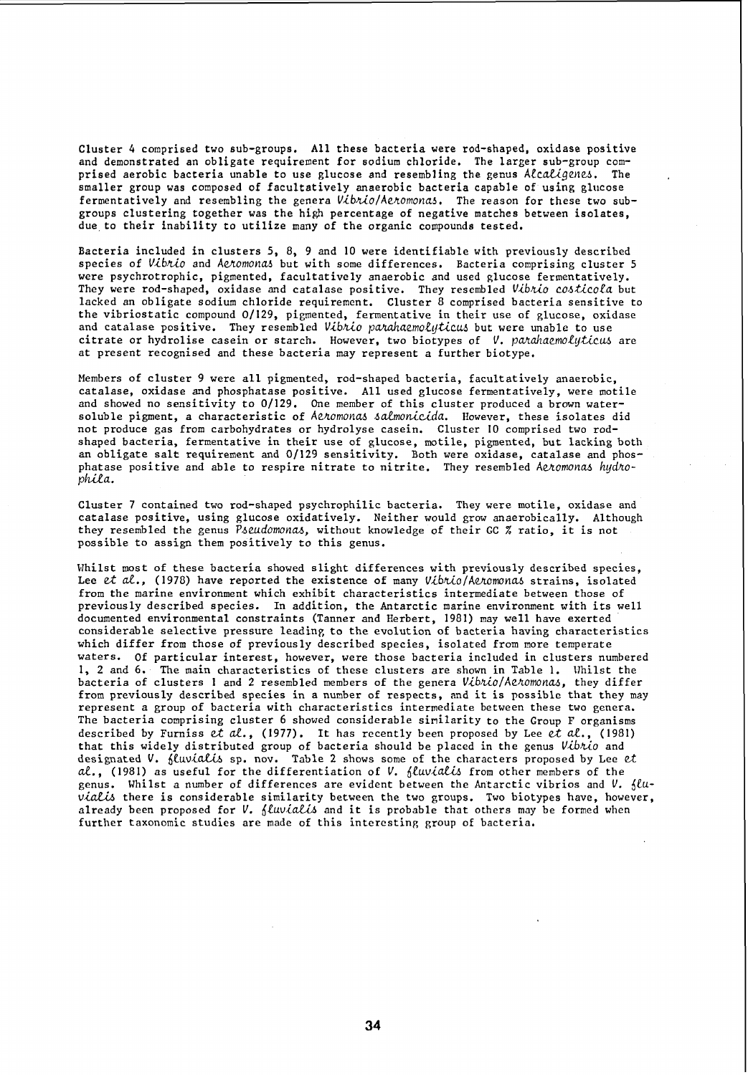Cluster 4 comprised two sub-groups. AlI these bacteria were rod-shaped, oxidase positive and demonstrated an obligate requirement for sodium chloride. The larger sub-group comprised aerobic bacteria unable to use glucose and resembling the genus Alcaligenes. The smaller group was composed of facultatively anaerobic bacteria capable of using glucose fermentatively and resembling the genera Vibnio/Aenomonas. The reason for these two subgroups clustering together was the high percentage of negative matches between isolates, due to their inability to utilize many of the organic compounds tested.

Bacteria included in clusters S, 8, 9 and 10 were identifiable with previously described species of Vibrio and Aeromonas but with some differences. Bacteria comprising cluster 5 were psychrotrophic, pigmented, facultatively anaerobic and used glucose fermentatively. They were rod-shaped, oxidase and catalase positive. They resembled *Vibrio costicola* but lacked an obligate sodium chloride requirement. Cluster 8 comprised bacteria sensitive to the vibriostatic compound 0/129, pigmented, fermentative in their use of glucose, oxidase and catalase positive. They resembled Vibrio parahaemolyticus but were unable to use citrate or hydrolise casein or starch. However, two biotypes of *V. parahaemolyticus* are at present recognised and these bacteria may represent a further biotype.

Members of cluster 9 were aIl pigmented, rod-shaped bacteria, facultatively anaerobic, catalase, oxidase and phosphatase positive. AlI used glucose fermentatively, were motile and showed no sensitivity to 0/129. One member of this cluster produced a brown watersoluble pigment, a characteristic of Aetomonas salmonicida. However, these isolates did not produce gas from carbohydrates or hydrolyse casein. Cluster 10 comprised two rodshaped bacteria, fermentative in their use of glucose, motile, pigmented, but lacking both an obligate salt requirement and 0/129 sensitivity. Both were oxidase, catalase and phosphatase positive and able to respire nitrate to nitrite. They resembled Aeromonas hydro-<br>*phila*.

Cluster 7 contained two rod-shaped psychrophilic bacteria. They were motile, oxidase and catalase positive, using glucose oxidatively. Neither would grow anaerobically. Although they resembled the genus Pseudomonas, without knowledge of their GC % ratio, it is not possible to assign them positively to this genus.

Whilst most of these bacteria showed slight differences with previously described species, Lee et al., (1978) have reported the existence of many Vibrio/Aeromonas strains, isolated from the marine environment which exhibit characteristics intermediate between those of previously described species. In addition, the Antarctic marine environment with its weIl documented environmental constraints (Tanner and Herbert, 1981) may weIl have exerted considerable selective pressure leading to the evolution of bacteria having characteristics which differ from those of previously described species, isolated from more temperate waters. Of particular interest, however, were those bacteria included in clusters numbered l, 2 and 6. The main characteristics of these clusters are shown in Table 1. 17hilst the bacteria of clusters 1 and 2 resembled members of the genera Vibrio/Aeromonas, they differ from previously described species in a number of respects, and it is possible that they may represent a group of bacteria with characteristics intermediate between these two genera. The bacteria comprising cluster 6 showed considerable similarity to the Group F organisms described by Furniss et *al.,* (1977). lt has rccently been proposed by Lee et *al.,* (1981) that this widely distributed group of bacteria should be placed in the genus Vibrio and designated V. *fluvialis* sp. nov. Table 2 shows some of the characters proposed by Lee et al., (1981) as useful for the differentiation of *V. fluvialis* from other members of the genus. Whilst a number of differences are evident between the Antarctic vibrios and V.  $flu$  $via$ lis there is considerable similarity between the two groups. Two biotypes have, however, already been proposed for *V. {Luvialis* and it is probable that others may be formed when further taxonomic studies are made of this interestinp, group of bacteria.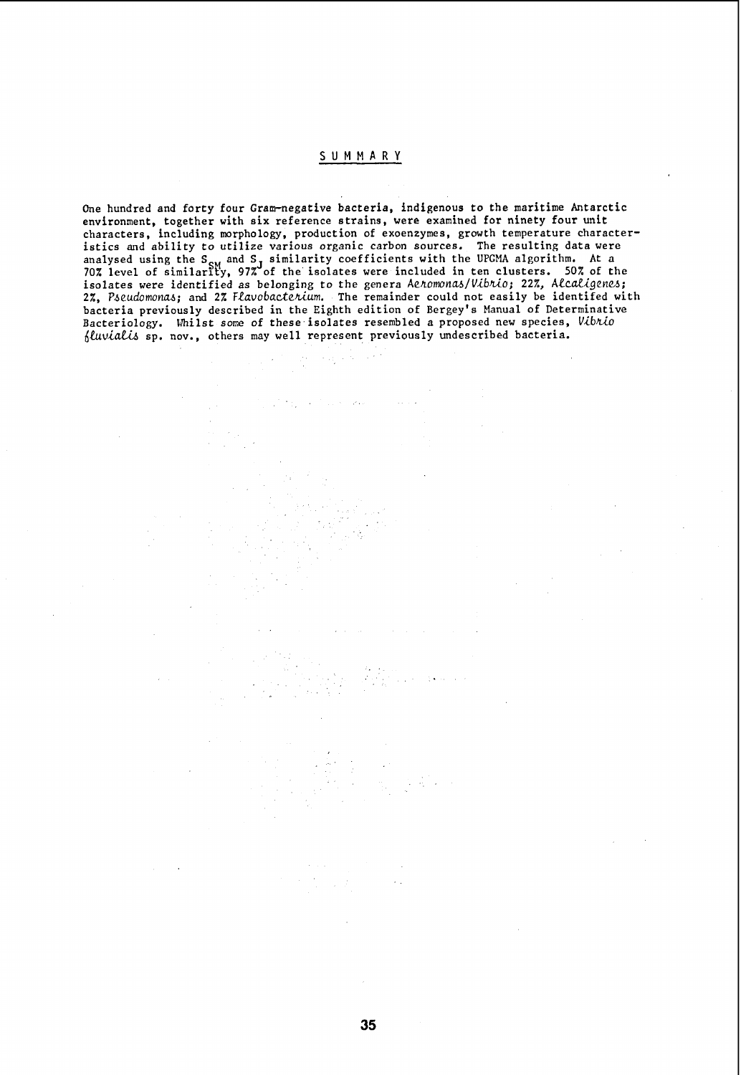# S UMM A R Y

One hundred and forty four Gram-negative bacteria, indigenous to the maritime Antarctic environment, together with six reference strains, were examined for ninety four unit characters, including morphology, production of exoenzymes, growth temperature characteristics and ability to utilize various organic carbon sources. The resulting data were analysed using the S<sub>SM</sub> and S<sub>J</sub> similarity coefficients with the UPGMA algorithm. At a 70% level of similarity, 97% of the isolates were included in ten clusters. 50% of the isolates were identified as belonging to the genera Ae*homonas/Vibrio;* 22%, Alcal*igenes;* 2%, Pseudomonas; and 2% Flavobacterium. The remainder could not easily be identifed with bacteria previously described in the Eighth edition of Bergey's Manual of Determinative Bacteriology. Whilst some of these isolates resembled a proposed new species, Vibrio fluvialis sp. nov., others may well represent previously undescribed bacteria.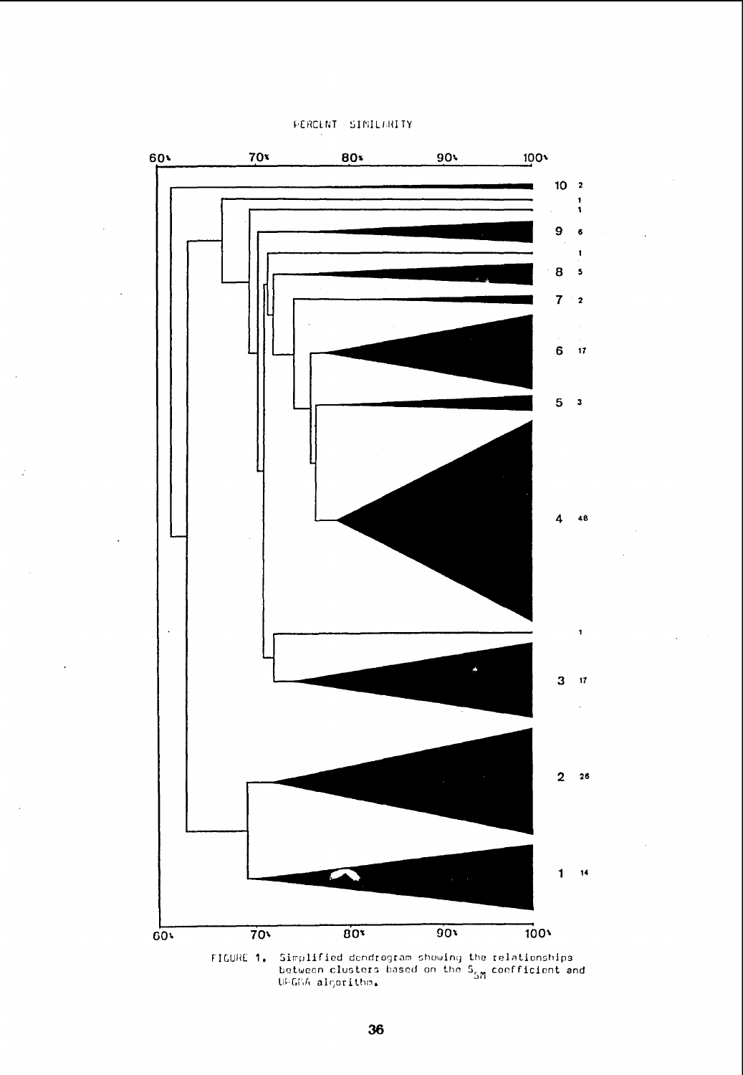



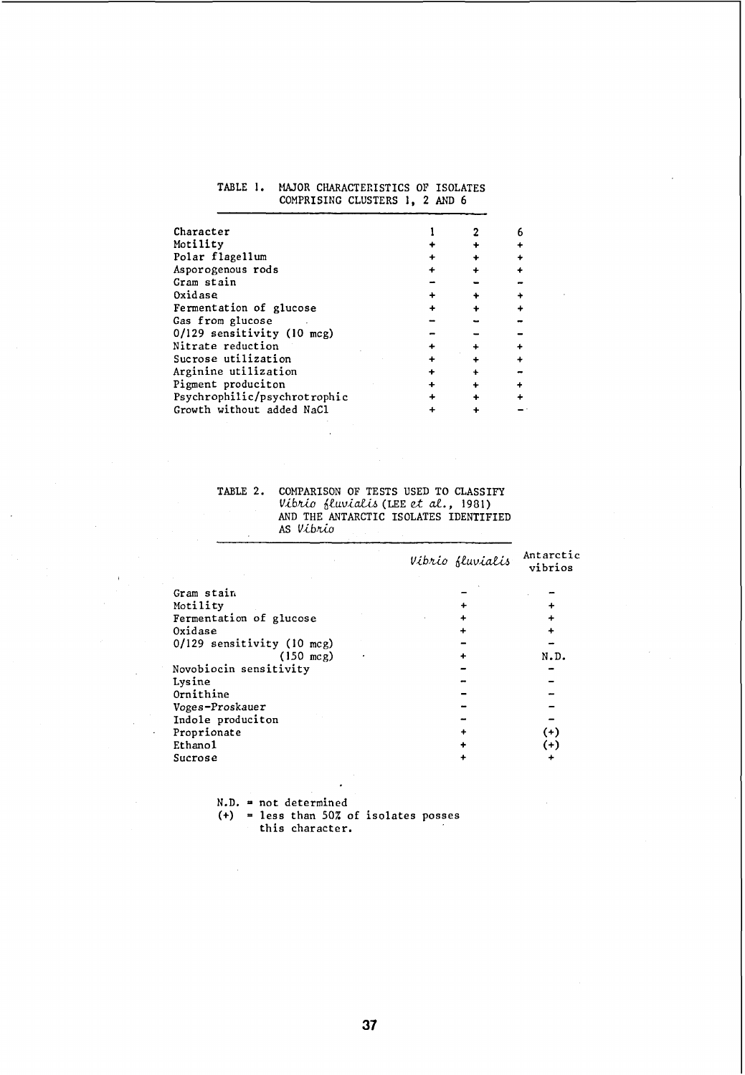### TABLE **1.** MAJOR CHARACTEnISTICS OF ISOLATES COMPRISING CLUSTERS 1, 2 AND 6

| Character                    |  |  |
|------------------------------|--|--|
| Motility                     |  |  |
| Polar flagellum              |  |  |
| Asporogenous rods            |  |  |
| Gram stain                   |  |  |
| Oxidase                      |  |  |
| Fermentation of glucose      |  |  |
| Gas from glucose             |  |  |
| 0/129 sensitivity (10 mcg)   |  |  |
| Nitrate reduction            |  |  |
| Sucrose utilization          |  |  |
| Arginine utilization         |  |  |
| Pigment produciton           |  |  |
| Psychrophilic/psychrotrophic |  |  |
| Growth without added NaCl    |  |  |
|                              |  |  |

TABLE 2. COMPARISON OF TESTS USED TO CLASSIFY *VibJUO Muvia.U.6* (LEE et al., *1981)*  AND THE ANTARCTIC ISOLATES IDENTIFIED AS *Vibrio* 

|                            | Vibrio fluvialis | Antarctic<br>vibrios |
|----------------------------|------------------|----------------------|
| Gram stain                 |                  |                      |
| Motility                   |                  |                      |
| Fermentation of glucose    |                  |                      |
| Oxidase                    |                  |                      |
| 0/129 sensitivity (10 mcg) |                  |                      |
| $(150 \text{ mcg})$        |                  | N.D.                 |
| Novobiocin sensitivity     |                  |                      |
| Lysine                     |                  |                      |
| Ornithine                  |                  |                      |
| Voges-Proskauer            |                  |                      |
| Indole produciton          |                  |                      |
| Proprionate                |                  | $^{(+)}$             |
| Ethano1                    |                  | $^{(+)}$             |
| Sucrose                    |                  |                      |

N.D. = not determined (+) = less than *50i.* of isolates posses this character.

 $\mathcal{L}_{\mathcal{A}}$